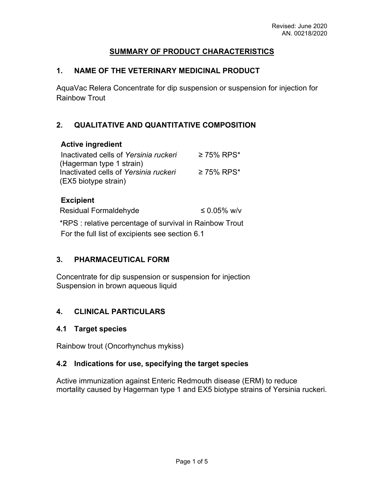### **SUMMARY OF PRODUCT CHARACTERISTICS**

### **1. NAME OF THE VETERINARY MEDICINAL PRODUCT**

AquaVac Relera Concentrate for dip suspension or suspension for injection for Rainbow Trout

## **2. QUALITATIVE AND QUANTITATIVE COMPOSITION**

#### **Active ingredient**

| Inactivated cells of Yersinia ruckeri                             | $≥ 75%$ RPS* |
|-------------------------------------------------------------------|--------------|
| (Hagerman type 1 strain)<br>Inactivated cells of Yersinia ruckeri | $≥ 75%$ RPS* |
| (EX5 biotype strain)                                              |              |

#### **Excipient**

Residual Formaldehyde  $\leq 0.05\%$  w/v \*RPS : relative percentage of survival in Rainbow Trout

For the full list of excipients see section 6.1

### **3. PHARMACEUTICAL FORM**

Concentrate for dip suspension or suspension for injection Suspension in brown aqueous liquid

### **4. CLINICAL PARTICULARS**

### **4.1 Target species**

Rainbow trout (Oncorhynchus mykiss)

### **4.2 Indications for use, specifying the target species**

Active immunization against Enteric Redmouth disease (ERM) to reduce mortality caused by Hagerman type 1 and EX5 biotype strains of Yersinia ruckeri.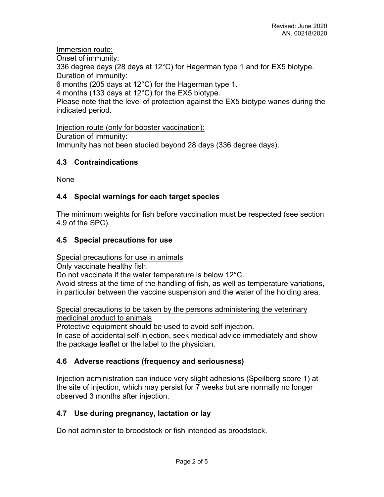Immersion route:

Onset of immunity:

336 degree days (28 days at 12°C) for Hagerman type 1 and for EX5 biotype. Duration of immunity:

6 months (205 days at 12°C) for the Hagerman type 1.

4 months (133 days at 12°C) for the EX5 biotype.

Please note that the level of protection against the EX5 biotype wanes during the indicated period.

Injection route (only for booster vaccination): Duration of immunity: Immunity has not been studied beyond 28 days (336 degree days).

# **4.3 Contraindications**

None

# **4.4 Special warnings for each target species**

The minimum weights for fish before vaccination must be respected (see section 4.9 of the SPC).

# **4.5 Special precautions for use**

Special precautions for use in animals

Only vaccinate healthy fish.

Do not vaccinate if the water temperature is below 12°C.

Avoid stress at the time of the handling of fish, as well as temperature variations, in particular between the vaccine suspension and the water of the holding area.

Special precautions to be taken by the persons administering the veterinary medicinal product to animals

Protective equipment should be used to avoid self injection. In case of accidental self-injection, seek medical advice immediately and show the package leaflet or the label to the physician.

# **4.6 Adverse reactions (frequency and seriousness)**

Injection administration can induce very slight adhesions (Speilberg score 1) at the site of injection, which may persist for 7 weeks but are normally no longer observed 3 months after injection.

# **4.7 Use during pregnancy, lactation or lay**

Do not administer to broodstock or fish intended as broodstock.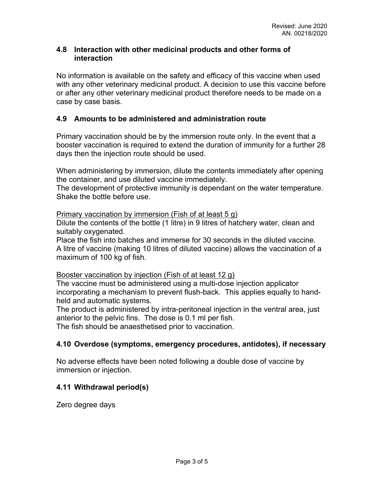### **4.8 Interaction with other medicinal products and other forms of interaction**

No information is available on the safety and efficacy of this vaccine when used with any other veterinary medicinal product. A decision to use this vaccine before or after any other veterinary medicinal product therefore needs to be made on a case by case basis.

### **4.9 Amounts to be administered and administration route**

Primary vaccination should be by the immersion route only. In the event that a booster vaccination is required to extend the duration of immunity for a further 28 days then the injection route should be used.

When administering by immersion, dilute the contents immediately after opening the container, and use diluted vaccine immediately.

The development of protective immunity is dependant on the water temperature. Shake the bottle before use.

Primary vaccination by immersion (Fish of at least 5 g)

Dilute the contents of the bottle (1 litre) in 9 litres of hatchery water, clean and suitably oxygenated.

Place the fish into batches and immerse for 30 seconds in the diluted vaccine. A litre of vaccine (making 10 litres of diluted vaccine) allows the vaccination of a maximum of 100 kg of fish.

#### Booster vaccination by injection (Fish of at least 12 g)

The vaccine must be administered using a multi-dose injection applicator incorporating a mechanism to prevent flush-back. This applies equally to handheld and automatic systems.

The product is administered by intra-peritoneal injection in the ventral area, just anterior to the pelvic fins. The dose is 0.1 ml per fish.

The fish should be anaesthetised prior to vaccination.

# **4.10 Overdose (symptoms, emergency procedures, antidotes), if necessary**

No adverse effects have been noted following a double dose of vaccine by immersion or injection.

### **4.11 Withdrawal period(s)**

Zero degree days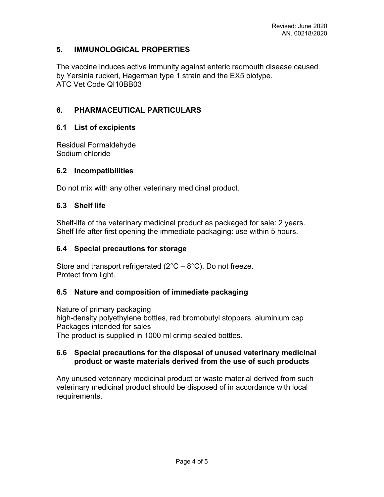## **5. IMMUNOLOGICAL PROPERTIES**

The vaccine induces active immunity against enteric redmouth disease caused by Yersinia ruckeri, Hagerman type 1 strain and the EX5 biotype. ATC Vet Code QI10BB03

# **6. PHARMACEUTICAL PARTICULARS**

### **6.1 List of excipients**

Residual Formaldehyde Sodium chloride

### **6.2 Incompatibilities**

Do not mix with any other veterinary medicinal product.

### **6.3 Shelf life**

Shelf-life of the veterinary medicinal product as packaged for sale: 2 years. Shelf life after first opening the immediate packaging: use within 5 hours.

### **6.4 Special precautions for storage**

Store and transport refrigerated ( $2^{\circ}C - 8^{\circ}C$ ). Do not freeze. Protect from light.

### **6.5 Nature and composition of immediate packaging**

Nature of primary packaging high-density polyethylene bottles, red bromobutyl stoppers, aluminium cap Packages intended for sales The product is supplied in 1000 ml crimp-sealed bottles.

### **6.6 Special precautions for the disposal of unused veterinary medicinal product or waste materials derived from the use of such products**

Any unused veterinary medicinal product or waste material derived from such veterinary medicinal product should be disposed of in accordance with local requirements.